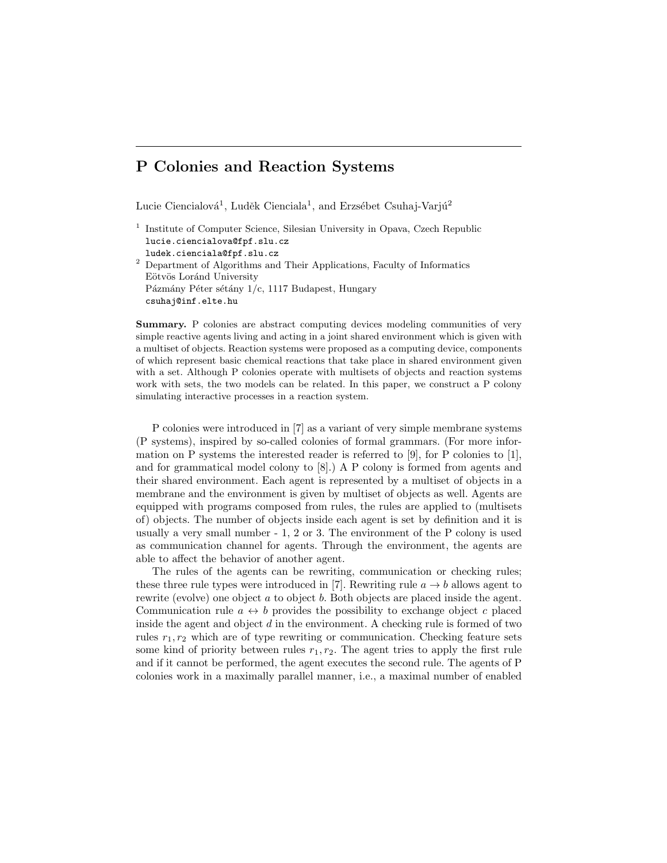# P Colonies and Reaction Systems

Lucie Ciencialová<sup>1</sup>, Luděk Cienciala<sup>1</sup>, and Erzsébet Csuhaj-Varjú<sup>2</sup>

<sup>1</sup> Institute of Computer Science, Silesian University in Opava, Czech Republic lucie.ciencialova@fpf.slu.cz ludek.cienciala@fpf.slu.cz

 $^{\rm 2}$  Department of Algorithms and Their Applications, Faculty of Informatics Eötvös Loránd University Pázmány Péter sétány  $1/c$ , 1117 Budapest, Hungary csuhaj@inf.elte.hu

Summary. P colonies are abstract computing devices modeling communities of very simple reactive agents living and acting in a joint shared environment which is given with a multiset of objects. Reaction systems were proposed as a computing device, components of which represent basic chemical reactions that take place in shared environment given with a set. Although P colonies operate with multisets of objects and reaction systems work with sets, the two models can be related. In this paper, we construct a P colony simulating interactive processes in a reaction system.

P colonies were introduced in [7] as a variant of very simple membrane systems (P systems), inspired by so-called colonies of formal grammars. (For more information on P systems the interested reader is referred to [9], for P colonies to [1], and for grammatical model colony to [8].) A P colony is formed from agents and their shared environment. Each agent is represented by a multiset of objects in a membrane and the environment is given by multiset of objects as well. Agents are equipped with programs composed from rules, the rules are applied to (multisets of) objects. The number of objects inside each agent is set by definition and it is usually a very small number - 1, 2 or 3. The environment of the P colony is used as communication channel for agents. Through the environment, the agents are able to affect the behavior of another agent.

The rules of the agents can be rewriting, communication or checking rules; these three rule types were introduced in [7]. Rewriting rule  $a \rightarrow b$  allows agent to rewrite (evolve) one object  $a$  to object  $b$ . Both objects are placed inside the agent. Communication rule  $a \leftrightarrow b$  provides the possibility to exchange object c placed inside the agent and object  $d$  in the environment. A checking rule is formed of two rules  $r_1, r_2$  which are of type rewriting or communication. Checking feature sets some kind of priority between rules  $r_1, r_2$ . The agent tries to apply the first rule and if it cannot be performed, the agent executes the second rule. The agents of P colonies work in a maximally parallel manner, i.e., a maximal number of enabled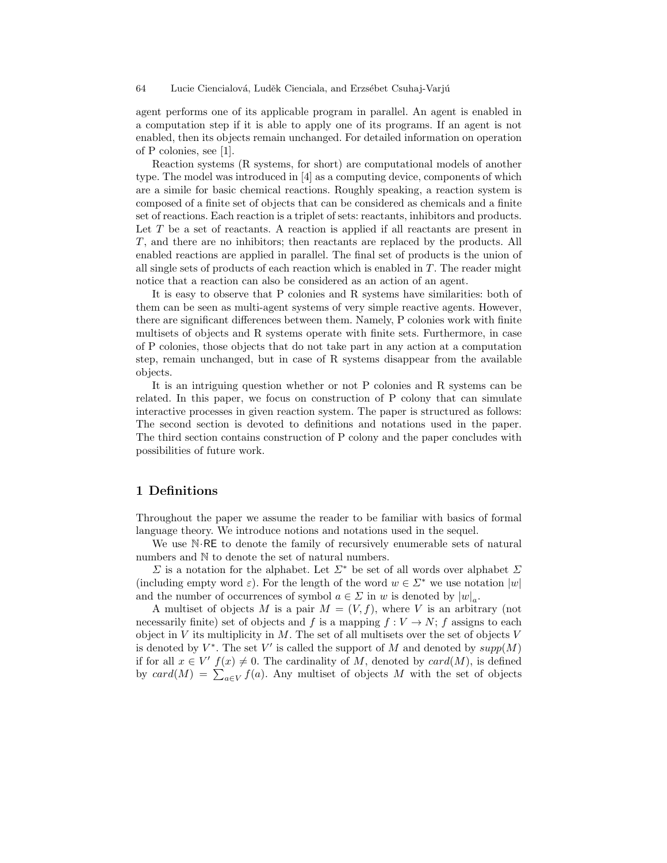agent performs one of its applicable program in parallel. An agent is enabled in a computation step if it is able to apply one of its programs. If an agent is not enabled, then its objects remain unchanged. For detailed information on operation of P colonies, see [1].

Reaction systems (R systems, for short) are computational models of another type. The model was introduced in [4] as a computing device, components of which are a simile for basic chemical reactions. Roughly speaking, a reaction system is composed of a finite set of objects that can be considered as chemicals and a finite set of reactions. Each reaction is a triplet of sets: reactants, inhibitors and products. Let  $T$  be a set of reactants. A reaction is applied if all reactants are present in T, and there are no inhibitors; then reactants are replaced by the products. All enabled reactions are applied in parallel. The final set of products is the union of all single sets of products of each reaction which is enabled in  $T$ . The reader might notice that a reaction can also be considered as an action of an agent.

It is easy to observe that P colonies and R systems have similarities: both of them can be seen as multi-agent systems of very simple reactive agents. However, there are significant differences between them. Namely, P colonies work with finite multisets of objects and R systems operate with finite sets. Furthermore, in case of P colonies, those objects that do not take part in any action at a computation step, remain unchanged, but in case of R systems disappear from the available objects.

It is an intriguing question whether or not P colonies and R systems can be related. In this paper, we focus on construction of P colony that can simulate interactive processes in given reaction system. The paper is structured as follows: The second section is devoted to definitions and notations used in the paper. The third section contains construction of P colony and the paper concludes with possibilities of future work.

# 1 Definitions

Throughout the paper we assume the reader to be familiar with basics of formal language theory. We introduce notions and notations used in the sequel.

We use N·RE to denote the family of recursively enumerable sets of natural numbers and N to denote the set of natural numbers.

 $\Sigma$  is a notation for the alphabet. Let  $\Sigma^*$  be set of all words over alphabet  $\Sigma$ (including empty word  $\varepsilon$ ). For the length of the word  $w \in \Sigma^*$  we use notation  $|w|$ and the number of occurrences of symbol  $a \in \Sigma$  in w is denoted by  $|w|_a$ .

A multiset of objects M is a pair  $M = (V, f)$ , where V is an arbitrary (not necessarily finite) set of objects and f is a mapping  $f: V \to N$ ; f assigns to each object in  $V$  its multiplicity in  $M$ . The set of all multisets over the set of objects  $V$ is denoted by  $V^*$ . The set V' is called the support of M and denoted by  $supp(M)$ if for all  $x \in V'$   $f(x) \neq 0$ . The cardinality of M, denoted by  $card(M)$ , is defined by  $card(M) = \sum_{a \in V} f(a)$ . Any multiset of objects M with the set of objects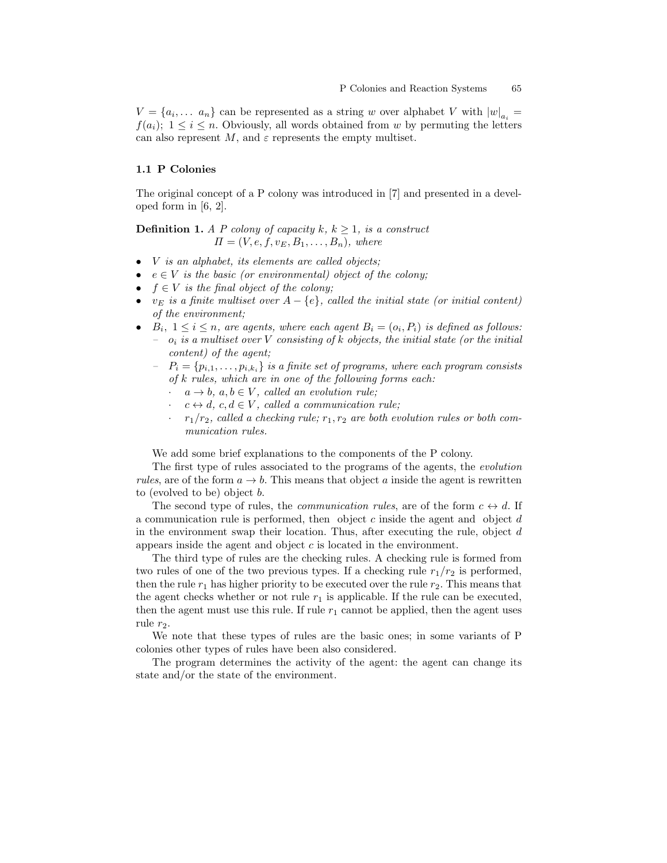$V = \{a_i, \dots, a_n\}$  can be represented as a string w over alphabet V with  $|w|_{a_i} =$  $f(a_i); 1 \leq i \leq n$ . Obviously, all words obtained from w by permuting the letters can also represent  $M$ , and  $\varepsilon$  represents the empty multiset.

## 1.1 P Colonies

The original concept of a P colony was introduced in [7] and presented in a developed form in [6, 2].

**Definition 1.** A P colony of capacity k,  $k \geq 1$ , is a construct  $\Pi = (V, e, f, v_E, B_1, \ldots, B_n),$  where

- *V* is an alphabet, its elements are called objects;
- $e \in V$  is the basic (or environmental) object of the colony;
- $f \in V$  is the final object of the colony;
- $v_E$  is a finite multiset over  $A \{e\}$ , called the initial state (or initial content) of the environment;
- $B_i$ ,  $1 \leq i \leq n$ , are agents, where each agent  $B_i = (o_i, P_i)$  is defined as follows:  $o_i$  is a multiset over V consisting of k objects, the initial state (or the initial content) of the agent;
	- $P_i = \{p_{i,1}, \ldots, p_{i,k_i}\}\$ is a finite set of programs, where each program consists of k rules, which are in one of the following forms each:
		- $a \rightarrow b, a, b \in V$ , called an evolution rule;
		- $c \leftrightarrow d$ ,  $c, d \in V$ , called a communication rule;
		- $r_1/r_2$ , called a checking rule;  $r_1, r_2$  are both evolution rules or both communication rules.

We add some brief explanations to the components of the P colony.

The first type of rules associated to the programs of the agents, the evolution rules, are of the form  $a \to b$ . This means that object a inside the agent is rewritten to (evolved to be) object b.

The second type of rules, the *communication rules*, are of the form  $c \leftrightarrow d$ . If a communication rule is performed, then object  $c$  inside the agent and object  $d$ in the environment swap their location. Thus, after executing the rule, object  $d$ appears inside the agent and object c is located in the environment.

The third type of rules are the checking rules. A checking rule is formed from two rules of one of the two previous types. If a checking rule  $r_1/r_2$  is performed, then the rule  $r_1$  has higher priority to be executed over the rule  $r_2$ . This means that the agent checks whether or not rule  $r_1$  is applicable. If the rule can be executed, then the agent must use this rule. If rule  $r_1$  cannot be applied, then the agent uses rule  $r_2$ .

We note that these types of rules are the basic ones; in some variants of P colonies other types of rules have been also considered.

The program determines the activity of the agent: the agent can change its state and/or the state of the environment.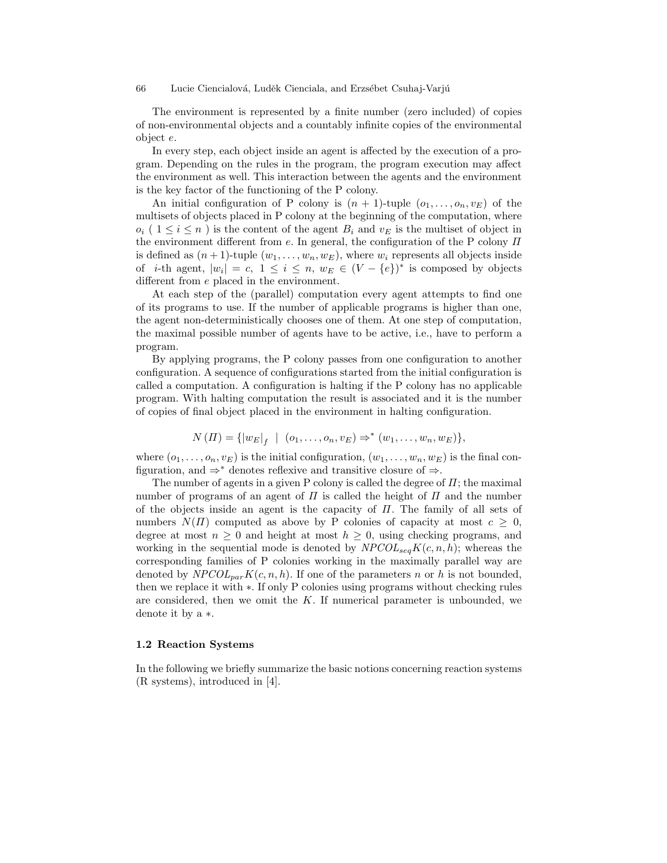The environment is represented by a finite number (zero included) of copies of non-environmental objects and a countably infinite copies of the environmental object e.

In every step, each object inside an agent is affected by the execution of a program. Depending on the rules in the program, the program execution may affect the environment as well. This interaction between the agents and the environment is the key factor of the functioning of the P colony.

An initial configuration of P colony is  $(n + 1)$ -tuple  $(o_1, \ldots, o_n, v_E)$  of the multisets of objects placed in P colony at the beginning of the computation, where  $o_i$  (  $1 \leq i \leq n$ ) is the content of the agent  $B_i$  and  $v_E$  is the multiset of object in the environment different from e. In general, the configuration of the P colony  $\Pi$ is defined as  $(n+1)$ -tuple  $(w_1, \ldots, w_n, w_E)$ , where  $w_i$  represents all objects inside of *i*-th agent,  $|w_i| = c$ ,  $1 \le i \le n$ ,  $w_E \in (V - \{e\})^*$  is composed by objects different from e placed in the environment.

At each step of the (parallel) computation every agent attempts to find one of its programs to use. If the number of applicable programs is higher than one, the agent non-deterministically chooses one of them. At one step of computation, the maximal possible number of agents have to be active, i.e., have to perform a program.

By applying programs, the P colony passes from one configuration to another configuration. A sequence of configurations started from the initial configuration is called a computation. A configuration is halting if the P colony has no applicable program. With halting computation the result is associated and it is the number of copies of final object placed in the environment in halting configuration.

$$
N(\Pi) = \{ |w_E|_f \mid (o_1, \ldots, o_n, v_E) \Rightarrow^* (w_1, \ldots, w_n, w_E) \},
$$

where  $(o_1, \ldots, o_n, v_E)$  is the initial configuration,  $(w_1, \ldots, w_n, w_E)$  is the final configuration, and  $\Rightarrow^*$  denotes reflexive and transitive closure of  $\Rightarrow$ .

The number of agents in a given P colony is called the degree of  $\Pi$ ; the maximal number of programs of an agent of  $\Pi$  is called the height of  $\Pi$  and the number of the objects inside an agent is the capacity of  $\Pi$ . The family of all sets of numbers  $N(\Pi)$  computed as above by P colonies of capacity at most  $c \geq 0$ , degree at most  $n \geq 0$  and height at most  $h \geq 0$ , using checking programs, and working in the sequential mode is denoted by  $NPCOL_{seq}K(c, n, h)$ ; whereas the corresponding families of P colonies working in the maximally parallel way are denoted by  $NPCOL_{par}K(c, n, h)$ . If one of the parameters n or h is not bounded, then we replace it with ∗. If only P colonies using programs without checking rules are considered, then we omit the  $K$ . If numerical parameter is unbounded, we denote it by a ∗.

#### 1.2 Reaction Systems

In the following we briefly summarize the basic notions concerning reaction systems (R systems), introduced in [4].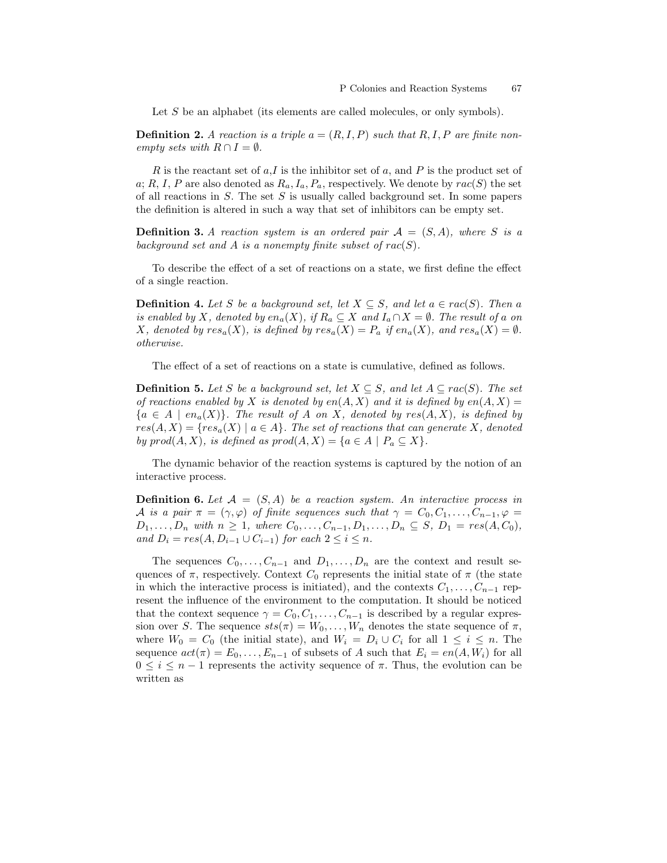Let S be an alphabet (its elements are called molecules, or only symbols).

**Definition 2.** A reaction is a triple  $a = (R, I, P)$  such that  $R, I, P$  are finite nonempty sets with  $R \cap I = \emptyset$ .

R is the reactant set of  $a, I$  is the inhibitor set of  $a$ , and P is the product set of a; R, I, P are also denoted as  $R_a$ ,  $I_a$ ,  $P_a$ , respectively. We denote by  $rac(S)$  the set of all reactions in  $S$ . The set  $S$  is usually called background set. In some papers the definition is altered in such a way that set of inhibitors can be empty set.

**Definition 3.** A reaction system is an ordered pair  $A = (S, A)$ , where S is a background set and A is a nonempty finite subset of  $rac(S)$ .

To describe the effect of a set of reactions on a state, we first define the effect of a single reaction.

**Definition 4.** Let S be a background set, let  $X \subseteq S$ , and let  $a \in \text{rac}(S)$ . Then a is enabled by X, denoted by  $en_a(X)$ , if  $R_a \subseteq X$  and  $I_a \cap X = \emptyset$ . The result of a on X, denoted by  $res_a(X)$ , is defined by  $res_a(X) = P_a$  if  $en_a(X)$ , and  $res_a(X) = \emptyset$ . otherwise.

The effect of a set of reactions on a state is cumulative, defined as follows.

**Definition 5.** Let S be a background set, let  $X \subseteq S$ , and let  $A \subseteq rac(S)$ . The set of reactions enabled by X is denoted by  $en(A, X)$  and it is defined by  $en(A, X)$  ${a \in A \mid en_a(X)}$ . The result of A on X, denoted by  $res(A, X)$ , is defined by  $res(A, X) = \{ res_a(X) \mid a \in A \}.$  The set of reactions that can generate X, denoted by  $prod(A, X)$ , is defined as  $prod(A, X) = \{a \in A \mid P_a \subseteq X\}.$ 

The dynamic behavior of the reaction systems is captured by the notion of an interactive process.

**Definition 6.** Let  $\mathcal{A} = (S, A)$  be a reaction system. An interactive process in A is a pair  $\pi = (\gamma, \varphi)$  of finite sequences such that  $\gamma = C_0, C_1, \ldots, C_{n-1}, \varphi =$  $D_1, \ldots, D_n$  with  $n \geq 1$ , where  $C_0, \ldots, C_{n-1}, D_1, \ldots, D_n \subseteq S$ ,  $D_1 = res(A, C_0)$ , and  $D_i = res(A, D_{i-1} \cup C_{i-1})$  for each  $2 \leq i \leq n$ .

The sequences  $C_0, \ldots, C_{n-1}$  and  $D_1, \ldots, D_n$  are the context and result sequences of  $\pi$ , respectively. Context  $C_0$  represents the initial state of  $\pi$  (the state in which the interactive process is initiated), and the contexts  $C_1, \ldots, C_{n-1}$  represent the influence of the environment to the computation. It should be noticed that the context sequence  $\gamma = C_0, C_1, \ldots, C_{n-1}$  is described by a regular expression over S. The sequence  $sts(\pi) = W_0, \ldots, W_n$  denotes the state sequence of  $\pi$ , where  $W_0 = C_0$  (the initial state), and  $W_i = D_i \cup C_i$  for all  $1 \leq i \leq n$ . The sequence  $act(\pi) = E_0, \ldots, E_{n-1}$  of subsets of A such that  $E_i = en(A, W_i)$  for all  $0 \leq i \leq n-1$  represents the activity sequence of  $\pi$ . Thus, the evolution can be written as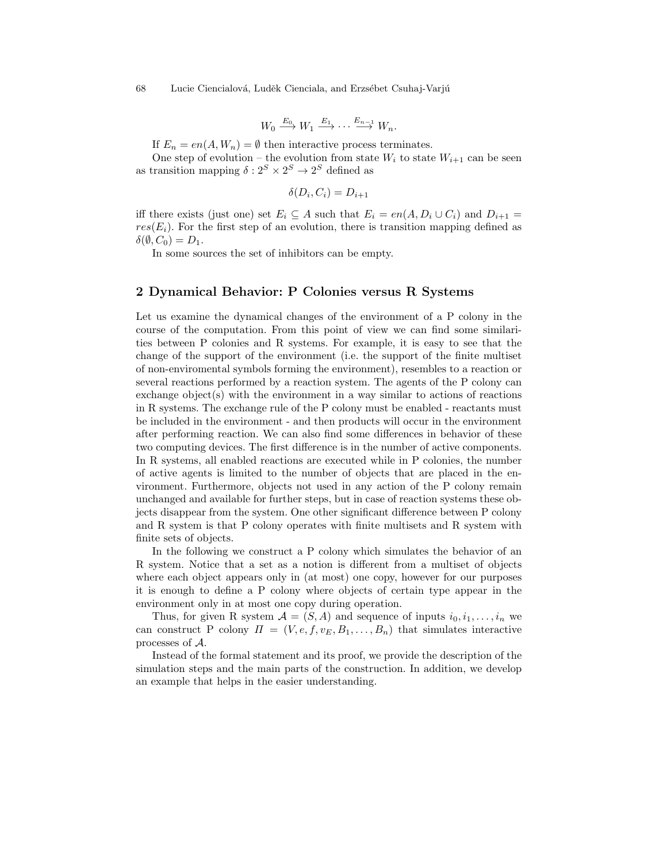$$
W_0 \xrightarrow{E_0} W_1 \xrightarrow{E_1} \cdots \xrightarrow{E_{n-1}} W_n.
$$

If  $E_n = en(A, W_n) = \emptyset$  then interactive process terminates.

One step of evolution – the evolution from state  $W_i$  to state  $W_{i+1}$  can be seen as transition mapping  $\delta: 2^S \times 2^S \to 2^S$  defined as

$$
\delta(D_i, C_i) = D_{i+1}
$$

iff there exists (just one) set  $E_i \subseteq A$  such that  $E_i = en(A, D_i \cup C_i)$  and  $D_{i+1} =$  $res(E_i)$ . For the first step of an evolution, there is transition mapping defined as  $\delta(\emptyset, C_0) = D_1.$ 

In some sources the set of inhibitors can be empty.

## 2 Dynamical Behavior: P Colonies versus R Systems

Let us examine the dynamical changes of the environment of a P colony in the course of the computation. From this point of view we can find some similarities between P colonies and R systems. For example, it is easy to see that the change of the support of the environment (i.e. the support of the finite multiset of non-enviromental symbols forming the environment), resembles to a reaction or several reactions performed by a reaction system. The agents of the P colony can exchange object(s) with the environment in a way similar to actions of reactions in R systems. The exchange rule of the P colony must be enabled - reactants must be included in the environment - and then products will occur in the environment after performing reaction. We can also find some differences in behavior of these two computing devices. The first difference is in the number of active components. In R systems, all enabled reactions are executed while in P colonies, the number of active agents is limited to the number of objects that are placed in the environment. Furthermore, objects not used in any action of the P colony remain unchanged and available for further steps, but in case of reaction systems these objects disappear from the system. One other significant difference between P colony and R system is that P colony operates with finite multisets and R system with finite sets of objects.

In the following we construct a P colony which simulates the behavior of an R system. Notice that a set as a notion is different from a multiset of objects where each object appears only in (at most) one copy, however for our purposes it is enough to define a P colony where objects of certain type appear in the environment only in at most one copy during operation.

Thus, for given R system  $A = (S, A)$  and sequence of inputs  $i_0, i_1, \ldots, i_n$  we can construct P colony  $\Pi = (V, e, f, v_E, B_1, \ldots, B_n)$  that simulates interactive processes of A.

Instead of the formal statement and its proof, we provide the description of the simulation steps and the main parts of the construction. In addition, we develop an example that helps in the easier understanding.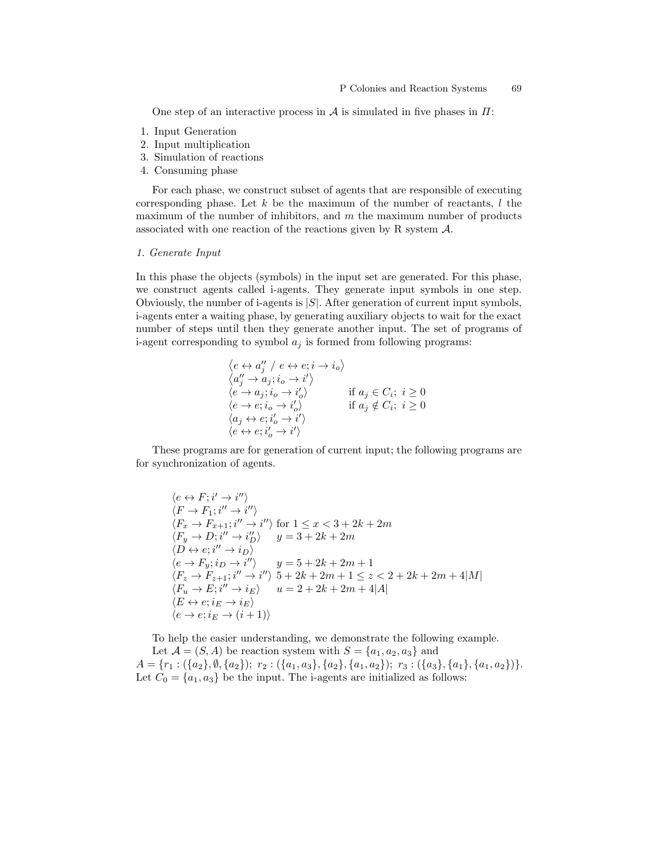One step of an interactive process in  $\mathcal A$  is simulated in five phases in  $\Pi$ :

- 1. Input Generation
- 2. Input multiplication
- 3. Simulation of reactions
- 4. Consuming phase

For each phase, we construct subset of agents that are responsible of executing corresponding phase. Let  $k$  be the maximum of the number of reactants,  $l$  the maximum of the number of inhibitors, and  $m$  the maximum number of products associated with one reaction of the reactions given by R system  $\mathcal{A}$ .

#### 1. Generate Input

In this phase the objects (symbols) in the input set are generated. For this phase, we construct agents called i-agents. They generate input symbols in one step. Obviously, the number of i-agents is  $|S|$ . After generation of current input symbols, i-agents enter a waiting phase, by generating auxiliary objects to wait for the exact number of steps until then they generate another input. The set of programs of i-agent corresponding to symbol  $a_i$  is formed from following programs:

$$
\begin{array}{ll}\n\langle e \leftrightarrow a''_j \ / \ e \leftrightarrow e; i \rightarrow i_o \rangle \\
\langle a''_j \rightarrow a_j; i_o \rightarrow i' \rangle \\
\langle e \rightarrow a_j; i_o \rightarrow i'_o \rangle & \text{if } a_j \in C_i; \ i \geq 0 \\
\langle e \rightarrow e; i_o \rightarrow i'_o \rangle & \text{if } a_j \notin C_i; \ i \geq 0 \\
\langle a_j \leftrightarrow e; i'_o \rightarrow i' \rangle & \langle e \leftrightarrow e; i'_o \rightarrow i' \rangle\n\end{array}
$$

These programs are for generation of current input; the following programs are for synchronization of agents.

$$
\langle e \leftrightarrow F; i' \rightarrow i'' \rangle
$$
  
\n
$$
\langle F \rightarrow F_1; i'' \rightarrow i'' \rangle
$$
  
\n
$$
\langle F_x \rightarrow F_{x+1}; i'' \rightarrow i'' \rangle
$$
 for  $1 \le x < 3 + 2k + 2m$   
\n
$$
\langle F_y \rightarrow D; i'' \rightarrow i''_D \rangle
$$
  
\n
$$
\langle p \leftrightarrow p; i \rightarrow i''_D \rangle
$$
  
\n
$$
\langle e \rightarrow F_y; i_D \rightarrow i'' \rangle
$$
  
\n
$$
\langle g \leftrightarrow g \rangle
$$
  
\n
$$
\langle e \rightarrow F_y; i_D \rightarrow i'' \rangle
$$
  
\n
$$
\langle g \leftrightarrow g \rangle
$$
  
\n
$$
\langle F_z \rightarrow F_{z+1}; i'' \rightarrow i'' \rangle
$$
  
\n
$$
\langle f \leftrightarrow g \rangle
$$
  
\n
$$
\langle F_u \rightarrow E; i'' \rightarrow i \rangle
$$
  
\n
$$
\langle g \leftrightarrow g \rangle
$$
  
\n
$$
\langle g \leftrightarrow g \rangle
$$
  
\n
$$
\langle g \leftrightarrow g \rangle
$$
  
\n
$$
\langle g \leftrightarrow g \rangle
$$
  
\n
$$
\langle g \leftrightarrow g \rangle
$$
  
\n
$$
\langle g \leftrightarrow g \rangle
$$
  
\n
$$
\langle g \leftrightarrow g \rangle
$$
  
\n
$$
\langle g \leftrightarrow g \rangle
$$
  
\n
$$
\langle g \leftrightarrow g \rangle
$$
  
\n
$$
\langle g \leftrightarrow g \rangle
$$
  
\n
$$
\langle g \leftrightarrow g \rangle
$$
  
\n
$$
\langle g \leftrightarrow g \rangle
$$
  
\n
$$
\langle g \leftrightarrow g \rangle
$$
  
\n
$$
\langle g \leftrightarrow g \rangle
$$
  
\n
$$
\langle g \leftrightarrow g \rangle
$$
  
\n
$$
\langle g \leftrightarrow g \rangle
$$
  
\n
$$
\langle g \leftrightarrow g \rangle
$$
  
\n
$$
\langle g \leftrightarrow g \rangle
$$
  
\n
$$
\langle g \leftrightarrow g \rangle
$$
  
\n
$$
\langle g \leftrightarrow g \rangle
$$
  
\n
$$
\langle g \leftrightarrow g \rangle
$$
  
\n
$$
\langle g \leftrightarrow g \rangle
$$
  
\n
$$
\langle g \leftrightarrow g \rangle
$$
<

To help the easier understanding, we demonstrate the following example.

Let  $\mathcal{A} = (S, A)$  be reaction system with  $S = \{a_1, a_2, a_3\}$  and  $A = \{r_1 : (\{a_2\}, \emptyset, \{a_2\}); r_2 : (\{a_1, a_3\}, \{a_2\}, \{a_1, a_2\}); r_3 : (\{a_3\}, \{a_1\}, \{a_1, a_2\})\}.$ Let  $C_0 = \{a_1, a_3\}$  be the input. The i-agents are initialized as follows: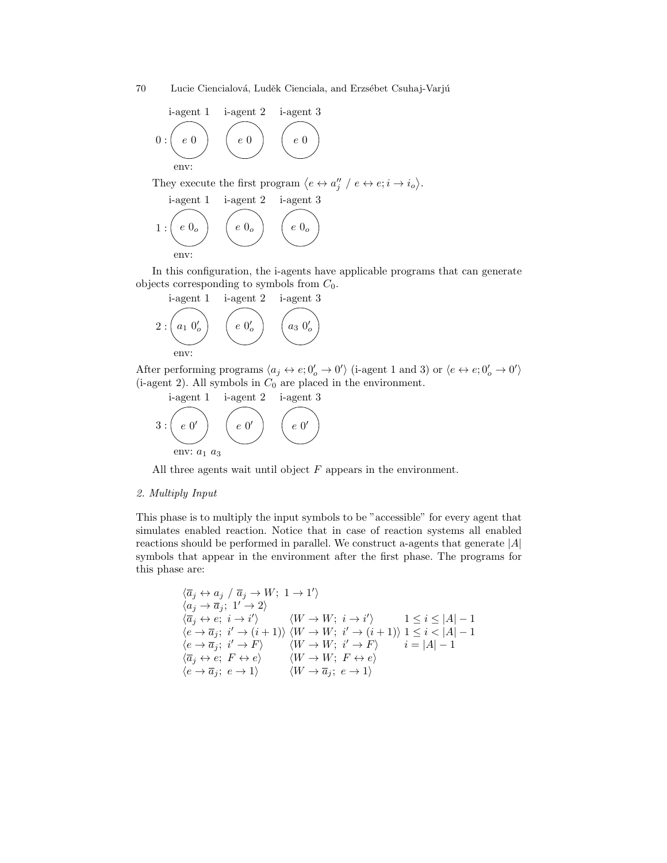$$
i\text{-agent 1} \quad i\text{-agent 2} \quad i\text{-agent 3} \\ 0: \begin{pmatrix} e & 0 \\ e & 0 \end{pmatrix} \quad \begin{pmatrix} e & 0 \\ e & 0 \end{pmatrix} \quad \begin{pmatrix} e & 0 \\ e & 0 \end{pmatrix}
$$

They execute the first program  $\langle e \leftrightarrow a''_j \rangle e \leftrightarrow e; i \to i_o \rangle$ .

i-agent 1 i-agent 2 i-agent 3  
\n1 : 
$$
\begin{pmatrix} e & 0 \\ e & \end{pmatrix}
$$
  $\begin{pmatrix} e & 0 \\ e & \end{pmatrix}$   $\begin{pmatrix} e & 0 \\ e & \end{pmatrix}$ 

In this configuration, the i-agents have applicable programs that can generate objects corresponding to symbols from  $C_0$ .

i-agent 1 i-agent 2 i-agent 3  
\n
$$
2: \begin{pmatrix} a_1 & 0'_o \end{pmatrix} \begin{pmatrix} e & 0'_o \end{pmatrix} \begin{pmatrix} a_3 & 0'_o \end{pmatrix}
$$
\nenv:

After performing programs  $\langle a_j \leftrightarrow e; 0'_o \to 0' \rangle$  (i-agent 1 and 3) or  $\langle e \leftrightarrow e; 0'_o \to 0' \rangle$ (i-agent 2). All symbols in  $C_0$  are placed in the environment.

i-agent 1 i-agent 2 i-agent 3  
3: 
$$
\begin{pmatrix} e & 0' \\ env: a_1 & a_3 \end{pmatrix} \begin{pmatrix} e & 0' \\ env: a_1 \end{pmatrix} \begin{pmatrix} 1 & 0 \\ 0 & 1 \end{pmatrix}
$$

All three agents wait until object  $F$  appears in the environment.

## 2. Multiply Input

This phase is to multiply the input symbols to be "accessible" for every agent that simulates enabled reaction. Notice that in case of reaction systems all enabled reactions should be performed in parallel. We construct a-agents that generate  $|A|$ symbols that appear in the environment after the first phase. The programs for this phase are:

$$
\langle \overline{a}_j \leftrightarrow a_j \mid \overline{a}_j \rightarrow W; 1 \rightarrow 1' \rangle \langle a_j \rightarrow \overline{a}_j; 1' \rightarrow 2 \rangle \langle \overline{a}_j \leftrightarrow e; i \rightarrow i' \rangle \qquad \langle W \rightarrow W; i \rightarrow i' \rangle \qquad 1 \leq i \leq |A| - 1 \langle e \rightarrow \overline{a}_j; i' \rightarrow (i+1) \rangle \langle W \rightarrow W; i' \rightarrow (i+1) \rangle 1 \leq i < |A| - 1 \langle e \rightarrow \overline{a}_j; i' \rightarrow F \rangle \qquad \langle W \rightarrow W; i' \rightarrow F \rangle \qquad i = |A| - 1 \langle \overline{a}_j \leftrightarrow e; F \leftrightarrow e \rangle \qquad \langle W \rightarrow W; F \leftrightarrow e \rangle \langle e \rightarrow \overline{a}_j; e \rightarrow 1 \rangle \qquad \langle W \rightarrow \overline{a}_j; e \rightarrow 1 \rangle
$$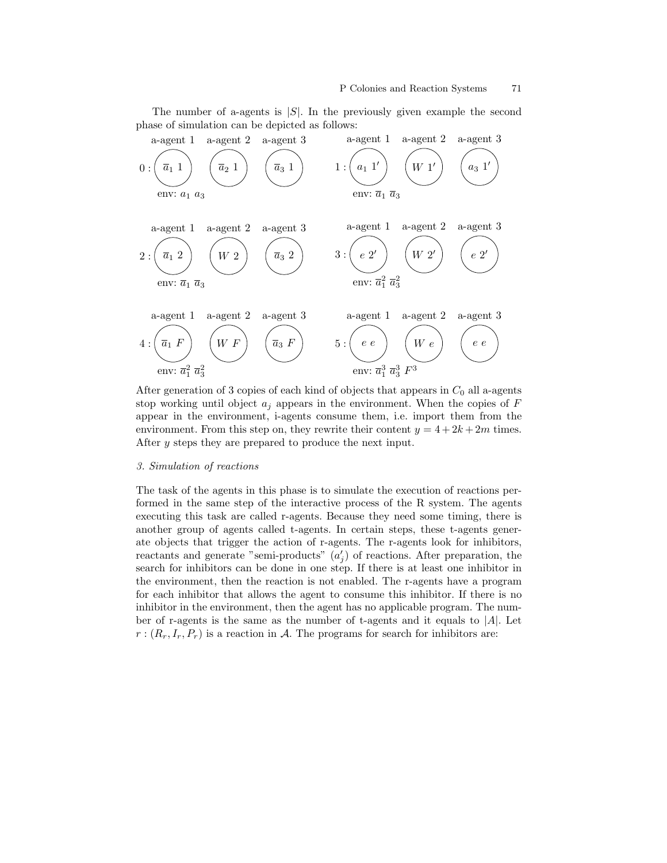The number of a-agents is  $|S|$ . In the previously given example the second phase of simulation can be depicted as follows:



After generation of 3 copies of each kind of objects that appears in  $C_0$  all a-agents stop working until object  $a_i$  appears in the environment. When the copies of  $F$ appear in the environment, i-agents consume them, i.e. import them from the environment. From this step on, they rewrite their content  $y = 4 + 2k + 2m$  times. After y steps they are prepared to produce the next input.

## 3. Simulation of reactions

The task of the agents in this phase is to simulate the execution of reactions performed in the same step of the interactive process of the R system. The agents executing this task are called r-agents. Because they need some timing, there is another group of agents called t-agents. In certain steps, these t-agents generate objects that trigger the action of r-agents. The r-agents look for inhibitors, reactants and generate "semi-products"  $(a'_j)$  of reactions. After preparation, the search for inhibitors can be done in one step. If there is at least one inhibitor in the environment, then the reaction is not enabled. The r-agents have a program for each inhibitor that allows the agent to consume this inhibitor. If there is no inhibitor in the environment, then the agent has no applicable program. The number of r-agents is the same as the number of t-agents and it equals to  $|A|$ . Let  $r:(R_r, I_r, P_r)$  is a reaction in A. The programs for search for inhibitors are: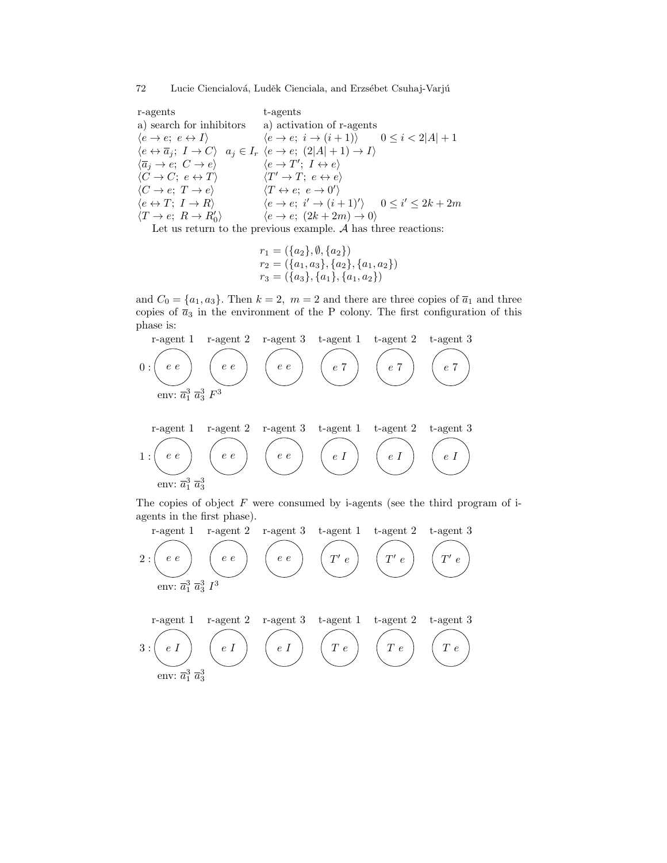r-agents a) search for inhibitors a) activation of r-agents  $\langle e \rightarrow e; e \leftrightarrow I \rangle$  $\langle e \leftrightarrow \overline{a}_j; I \to C \rangle \quad a_j \in I_r$  $\langle \overline{a}_j \rightarrow e; C \rightarrow e \rangle$  $\langle C \to C; e \leftrightarrow T \rangle$  $\langle C \rightarrow e; T \rightarrow e \rangle$  $\langle e \leftrightarrow T; I \to R \rangle$  $\langle T \rightarrow e; \ R \rightarrow R_0' \rangle$ t-agents  $\langle e \rightarrow e; i \rightarrow (i+1) \rangle$   $0 \leq i < 2|A|+1$  $\langle e \rightarrow e; (2|A|+1) \rightarrow I \rangle$  $\langle e \rightarrow T'; I \leftrightarrow e \rangle$  $\langle T' \rightarrow T; e \leftrightarrow e \rangle$  $\langle T \leftrightarrow e; e \rightarrow 0' \rangle$  $\langle e \rightarrow e; i' \rightarrow (i+1)'\rangle \quad 0 \leq i' \leq 2k+2m$  $\langle e \rightarrow e; (2k + 2m) \rightarrow 0 \rangle$ Let us return to the previous example.  $A$  has three reactions:

$$
r_1 = (\{a_2\}, \emptyset, \{a_2\})
$$
  
\n
$$
r_2 = (\{a_1, a_3\}, \{a_2\}, \{a_1, a_2\})
$$
  
\n
$$
r_3 = (\{a_3\}, \{a_1\}, \{a_1, a_2\})
$$

and  $C_0 = \{a_1, a_3\}$ . Then  $k = 2$ ,  $m = 2$  and there are three copies of  $\overline{a}_1$  and three copies of  $\bar{a}_3$  in the environment of the P colony. The first configuration of this phase is:

r-agent 1 r-agent 2 r-agent 3 t-agent 1 t-agent 2 t-agent 3  
\n0: 
$$
\begin{pmatrix} e & e \end{pmatrix}
$$
  $\begin{pmatrix} e & e \end{pmatrix}$   $\begin{pmatrix} e & e \end{pmatrix}$   $\begin{pmatrix} e & 7 \end{pmatrix}$   $\begin{pmatrix} e & 7 \end{pmatrix}$   $\begin{pmatrix} e & 7 \end{pmatrix}$   
\nenv:  $\overline{a}_1^3$   $\overline{a}_3^3$   $\begin{pmatrix} e & e \end{pmatrix}$   $\begin{pmatrix} e & e \end{pmatrix}$   $\begin{pmatrix} e & e \end{pmatrix}$   $\begin{pmatrix} e & I \end{pmatrix}$   $\begin{pmatrix} e & I \end{pmatrix}$   $\begin{pmatrix} e & I \end{pmatrix}$   $\begin{pmatrix} e & I \end{pmatrix}$ 

The copies of object  $F$  were consumed by i-agents (see the third program of iagents in the first phase).

r-agent 1 r-agent 2 r-agent 3 t-agent 1 t-agent 2 t-agent 3  
\n
$$
2:\begin{pmatrix} e & e \end{pmatrix} \begin{pmatrix} e & e \end{pmatrix} \begin{pmatrix} e & e \end{pmatrix} \begin{pmatrix} e & e \end{pmatrix} \begin{pmatrix} T' & e \end{pmatrix} \begin{pmatrix} T' & e \end{pmatrix}
$$
\n
$$
r\text{-agent 1 r-agent 2 r-agent 3 t-agent 1 t-agent 2 t-agent 3}
$$
\n
$$
3:\begin{pmatrix} e & I \end{pmatrix} \begin{pmatrix} e & I \end{pmatrix} \begin{pmatrix} e & I \end{pmatrix} \begin{pmatrix} T & e \end{pmatrix} \begin{pmatrix} T & e \end{pmatrix} \begin{pmatrix} T & e \end{pmatrix}
$$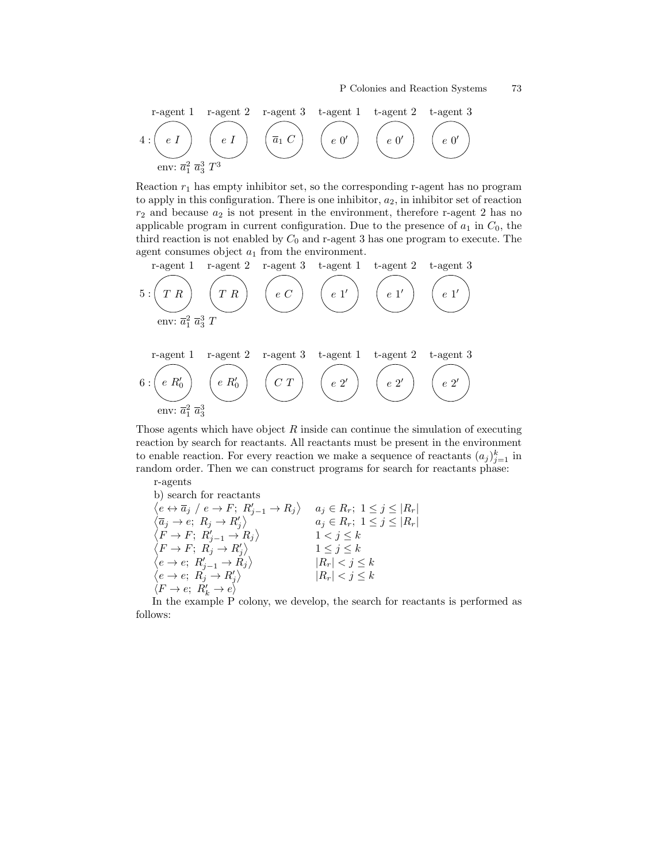r-agent 1 r-agent 2 r-agent 3 t-agent 1 t-agent 2 t-agent 3  
4: 
$$
\begin{pmatrix} e & I \end{pmatrix}
$$
  $\begin{pmatrix} e & I \end{pmatrix}$   $\begin{pmatrix} \overline{a}_1 C \\ e & 0' \end{pmatrix}$   $\begin{pmatrix} e & 0' \\ e & 0' \end{pmatrix}$   $\begin{pmatrix} e & 0' \\ e & 0' \end{pmatrix}$ 

Reaction  $r_1$  has empty inhibitor set, so the corresponding r-agent has no program to apply in this configuration. There is one inhibitor,  $a_2$ , in inhibitor set of reaction  $r_2$  and because  $a_2$  is not present in the environment, therefore r-agent 2 has no applicable program in current configuration. Due to the presence of  $a_1$  in  $C_0$ , the third reaction is not enabled by  $C_0$  and r-agent 3 has one program to execute. The agent consumes object  $a_1$  from the environment.

r-agent 1 r-agent 2 r-agent 3 t-agent 1 t-agent 2 t-agent 3  
\n5: 
$$
\begin{pmatrix} T & R \end{pmatrix}
$$
  $\begin{pmatrix} e & C \end{pmatrix}$   $\begin{pmatrix} e & 1' \end{pmatrix}$   $\begin{pmatrix} e & 1' \end{pmatrix}$   $\begin{pmatrix} e & 1' \end{pmatrix}$   
\nenv:  $\overline{a}_1^2 \overline{a}_3^3$  T  
\n6:  $\begin{pmatrix} e & R'_0 \end{pmatrix}$   $\begin{pmatrix} e & R'_0 \end{pmatrix}$   $\begin{pmatrix} C & T \end{pmatrix}$   $\begin{pmatrix} e & 2' \end{pmatrix}$   $\begin{pmatrix} e & 2' \end{pmatrix}$   $\begin{pmatrix} e & 2' \end{pmatrix}$ 

Those agents which have object  $R$  inside can continue the simulation of executing reaction by search for reactants. All reactants must be present in the environment to enable reaction. For every reaction we make a sequence of reactants  $(a_j)_{j=1}^k$  in random order. Then we can construct programs for search for reactants phase: r-agents

b) search for reactants  
\n
$$
\begin{array}{ll}\n\langle e \leftrightarrow \overline{a}_j \ / \ e \to F; \ R'_{j-1} \to R_j \rangle & a_j \in R_r; \ 1 \leq j \leq |R_r| \\
\langle \overline{a}_j \to e; \ R_j \to R'_j \rangle & a_j \in R_r; \ 1 \leq j \leq |R_r| \\
\langle F \to F; \ R'_{j-1} \to R_j \rangle & 1 < j \leq k \\
\langle F \to F; \ R_j \to R'_j \rangle & 1 \leq j \leq k \\
\langle e \to e; \ R'_{j-1} \to R_j \rangle & |R_r| < j \leq k \\
\langle e \to e; \ R_j \to R'_j \rangle & |R_r| < j \leq k \\
\langle F \to e; \ R'_k \to e \rangle &\n\end{array}
$$

In the example P colony, we develop, the search for reactants is performed as follows: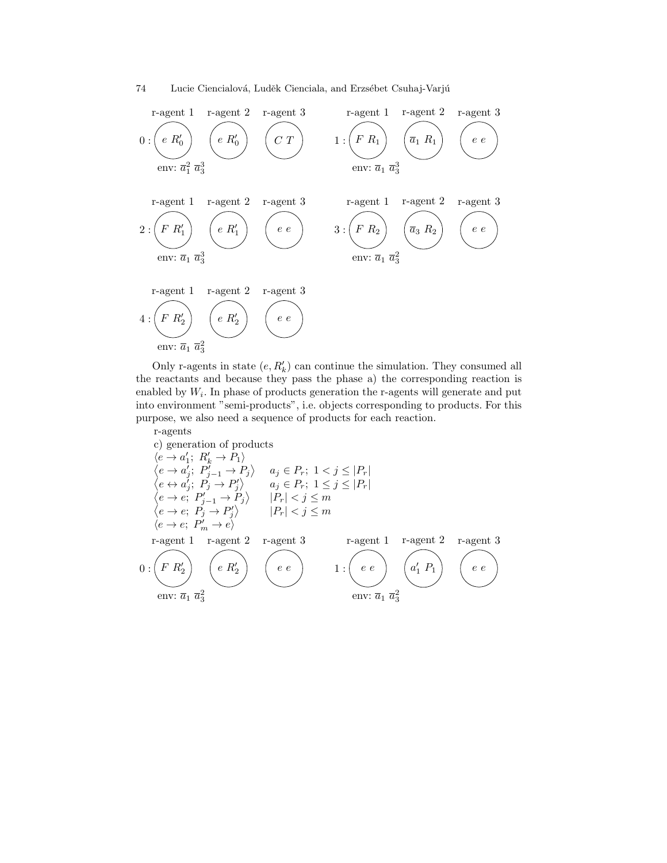



Only r-agents in state  $(e, R'_k)$  can continue the simulation. They consumed all the reactants and because they pass the phase a) the corresponding reaction is enabled by  $W_i$ . In phase of products generation the r-agents will generate and put into environment "semi-products", i.e. objects corresponding to products. For this purpose, we also need a sequence of products for each reaction.

r-agents  
\nc) generation of products  
\n
$$
\langle e \rightarrow a'_1; R'_k \rightarrow P_1 \rangle
$$
  
\n $\langle e \rightarrow a'_j; P'_{j-1} \rightarrow P_j \rangle$   $a_j \in P_r; 1 < j \le |P_r|$   
\n $\langle e \leftrightarrow a'_j; P_j \rightarrow P'_j \rangle$   $a_j \in P_r; 1 \le j \le |P_r|$   
\n $\langle e \rightarrow e; P'_{j-1} \rightarrow P_j \rangle$   $|P_r| < j \le m$   
\n $\langle e \rightarrow e; P'_j \rightarrow P'_j \rangle$   $|P_r| < j \le m$   
\n $\langle e \rightarrow e; P'_m \rightarrow e \rangle$   
\n $\langle e \rightarrow e; P'_m \rightarrow e \rangle$   
\n $\langle e \rightarrow e; P'_m \rightarrow e \rangle$   
\n $\langle e \rightarrow e; P'_m \rightarrow e \rangle$   
\n $\langle e \rightarrow e; P'_m \rightarrow e \rangle$   
\n $\langle e \rightarrow e; P'_m \rightarrow e \rangle$   
\n $\langle e \rightarrow e; P'_m \rightarrow e \rangle$   
\n $\langle e \rightarrow e; P'_m \rightarrow e \rangle$   
\n $\langle e \rightarrow e; P'_m \rightarrow e \rangle$   
\n $\langle e \rightarrow e; P'_m \rightarrow e \rangle$   
\n $\langle e \rightarrow e; P'_m \rightarrow e \rangle$   
\n $\langle e \rightarrow e; P'_m \rightarrow e \rangle$   
\n $\langle e \rightarrow e; P'_m \rightarrow e \rangle$   
\n $\langle e \rightarrow e; P'_m \rightarrow e \rangle$   
\n $\langle e \rightarrow e; P'_m \rightarrow e \rangle$   
\n $\langle e \rightarrow e; P'_m \rightarrow e \rangle$   
\n $\langle e \rightarrow e; P'_m \rightarrow e \rangle$   
\n $\langle e \rightarrow e; P'_m \rightarrow e \rangle$   
\n $\langle e \rightarrow e; P'_m \rightarrow e \rangle$   
\n $\langle e \rightarrow e; P'_m \rightarrow e \rangle$   
\n $\langle e \rightarrow e; P'_m \rightarrow e \rangle$   
\n $\langle e \rightarrow e; P'_m \rightarrow e \rangle$   
\n $\langle e \rightarrow e; P'_m \rightarrow e \rangle$   
\n $\langle e \rightarrow e; P'_m \rightarrow$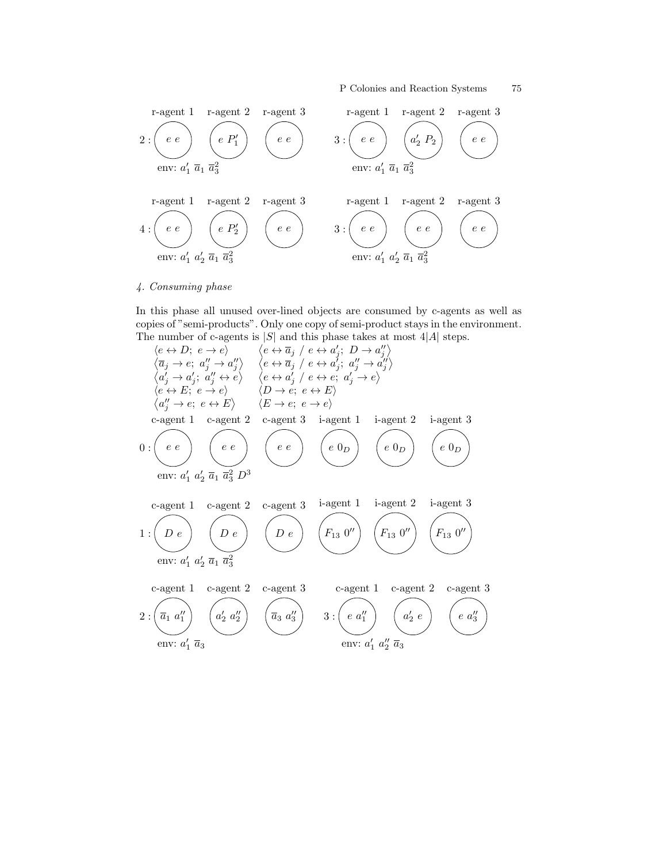

# 4. Consuming phase

In this phase all unused over-lined objects are consumed by c-agents as well as copies of "semi-products". Only one copy of semi-product stays in the environment. The number of c-agents is  $|S|$  and this phase takes at most  $4|A|$  steps.

he ↔ D; e → ei e ↔ a<sup>j</sup> / e ↔ a 0 j ; D → a 00 j a<sup>j</sup> → e; a 00 <sup>j</sup> → a 00 j e ↔ a<sup>j</sup> / e ↔ a 0 j ; a 00 <sup>j</sup> → a 00 j a 0 <sup>j</sup> → a 0 j ; a 00 <sup>j</sup> ↔ e e ↔ a 0 j / e ↔ e; a 0 <sup>j</sup> → e he ↔ E; e → ei hD → e; e ↔ Ei a 00 <sup>j</sup> → e; e ↔ E hE → e; e → ei 0 : e e c-agent 1 e e c-agent 2 e e c-agent 3 e 0<sup>D</sup> i-agent 1 e 0<sup>D</sup> i-agent 2 e 0<sup>D</sup> i-agent 3 env: a 0 <sup>1</sup> a 0 <sup>2</sup> a<sup>1</sup> a 2 <sup>3</sup> D<sup>3</sup> 1 : D e c-agent 1 D e c-agent 2 D e c-agent 3 F<sup>13</sup> 0 00 i-agent 1 F<sup>13</sup> 0 00 i-agent 2 F<sup>13</sup> 0 00 i-agent 3 env: a 0 <sup>1</sup> a 0 <sup>2</sup> a<sup>1</sup> a 2 3 2 : a<sup>1</sup> a 00 1 c-agent 1 a 0 <sup>2</sup> a 00 2 c-agent 2 a<sup>3</sup> a 00 3 c-agent 3 env: a 0 <sup>1</sup> a<sup>3</sup> 3 : e a<sup>00</sup> 1 c-agent 1 a 0 2 e c-agent 2 e a<sup>00</sup> 3 c-agent 3 env: a 0 <sup>1</sup> a 00 <sup>2</sup> a<sup>3</sup>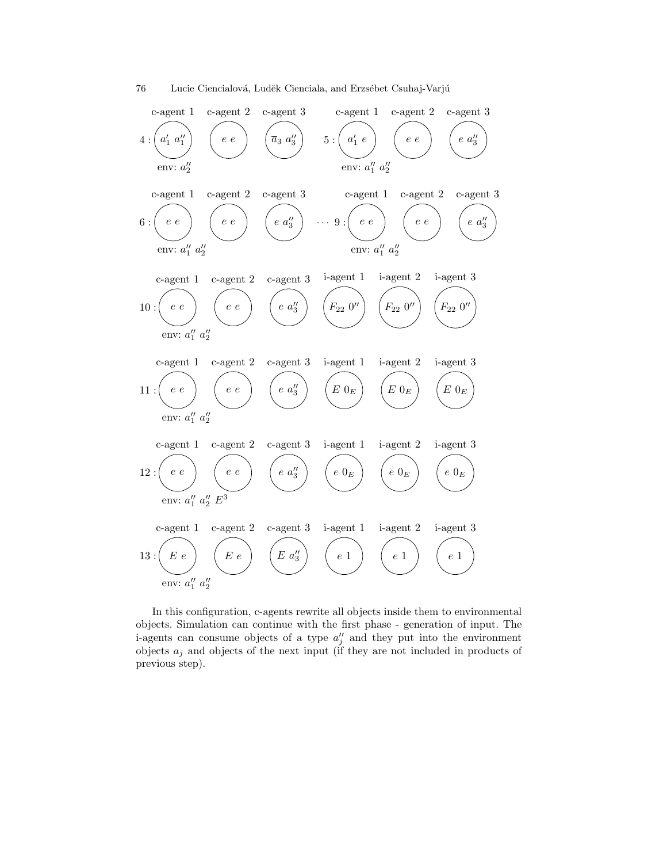

In this configuration, c-agents rewrite all objects inside them to environmental objects. Simulation can continue with the first phase - generation of input. The i-agents can consume objects of a type  $a''_j$  and they put into the environment objects  $a_j$  and objects of the next input (if they are not included in products of previous step).